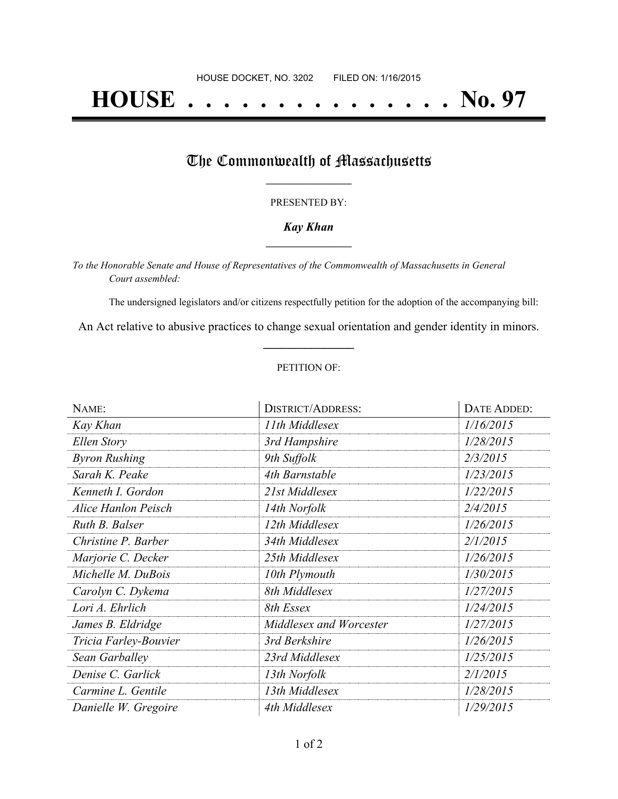# **HOUSE . . . . . . . . . . . . . . . No. 97**

## The Commonwealth of Massachusetts

#### PRESENTED BY:

#### *Kay Khan* **\_\_\_\_\_\_\_\_\_\_\_\_\_\_\_\_\_**

*To the Honorable Senate and House of Representatives of the Commonwealth of Massachusetts in General Court assembled:*

The undersigned legislators and/or citizens respectfully petition for the adoption of the accompanying bill:

An Act relative to abusive practices to change sexual orientation and gender identity in minors. **\_\_\_\_\_\_\_\_\_\_\_\_\_\_\_**

#### PETITION OF:

| NAME:                      | <b>DISTRICT/ADDRESS:</b> | DATE ADDED: |
|----------------------------|--------------------------|-------------|
| Kay Khan                   | 11th Middlesex           | 1/16/2015   |
| <b>Ellen Story</b>         | 3rd Hampshire            | 1/28/2015   |
| <b>Byron Rushing</b>       | 9th Suffolk              | 2/3/2015    |
| Sarah K. Peake             | 4th Barnstable           | 1/23/2015   |
| Kenneth I. Gordon          | 21st Middlesex           | 1/22/2015   |
| <b>Alice Hanlon Peisch</b> | 14th Norfolk             | 2/4/2015    |
| Ruth B. Balser             | 12th Middlesex           | 1/26/2015   |
| Christine P. Barber        | 34th Middlesex           | 2/1/2015    |
| Marjorie C. Decker         | 25th Middlesex           | 1/26/2015   |
| Michelle M. DuBois         | 10th Plymouth            | 1/30/2015   |
| Carolyn C. Dykema          | 8th Middlesex            | 1/27/2015   |
| Lori A. Ehrlich            | 8th Essex                | 1/24/2015   |
| James B. Eldridge          | Middlesex and Worcester  | 1/27/2015   |
| Tricia Farley-Bouvier      | 3rd Berkshire            | 1/26/2015   |
| Sean Garballey             | 23rd Middlesex           | 1/25/2015   |
| Denise C. Garlick          | 13th Norfolk             | 2/1/2015    |
| Carmine L. Gentile         | 13th Middlesex           | 1/28/2015   |
| Danielle W. Gregoire       | 4th Middlesex            | 1/29/2015   |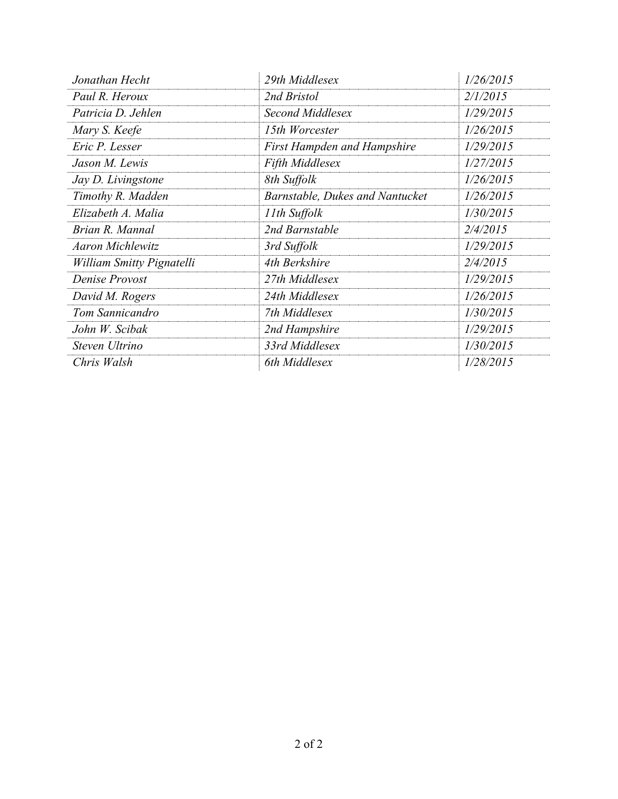| Jonathan Hecht            | 29th Middlesex                     | 1/26/2015 |
|---------------------------|------------------------------------|-----------|
| Paul R. Heroux            | 2nd Bristol                        | 2/1/2015  |
| Patricia D. Jehlen        | Second Middlesex                   | 1/29/2015 |
| Mary S. Keefe             | 15th Worcester                     | 1/26/2015 |
| Eric P. Lesser            | <b>First Hampden and Hampshire</b> | 1/29/2015 |
| Jason M. Lewis            | <b>Fifth Middlesex</b>             | 1/27/2015 |
| Jay D. Livingstone        | 8th Suffolk                        | 1/26/2015 |
| Timothy R. Madden         | Barnstable, Dukes and Nantucket    | 1/26/2015 |
| Elizabeth A. Malia        | 11th Suffolk                       | 1/30/2015 |
| Brian R. Mannal           | 2nd Barnstable                     | 2/4/2015  |
| <b>Aaron Michlewitz</b>   | 3rd Suffolk                        | 1/29/2015 |
| William Smitty Pignatelli | 4th Berkshire                      | 2/4/2015  |
| Denise Provost            | 27th Middlesex                     | 1/29/2015 |
| David M. Rogers           | 24th Middlesex                     | 1/26/2015 |
| Tom Sannicandro           | 7th Middlesex                      | 1/30/2015 |
| John W. Scibak            | 2nd Hampshire                      | 1/29/2015 |
| Steven Ultrino            | 33rd Middlesex                     | 1/30/2015 |
| Chris Walsh               | 6th Middlesex                      | 1/28/2015 |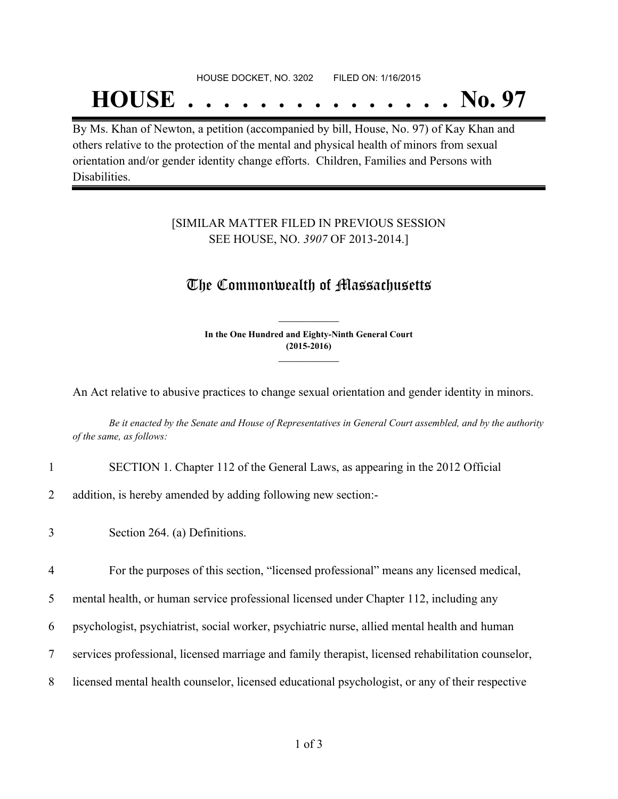#### HOUSE DOCKET, NO. 3202 FILED ON: 1/16/2015

## **HOUSE . . . . . . . . . . . . . . . No. 97**

By Ms. Khan of Newton, a petition (accompanied by bill, House, No. 97) of Kay Khan and others relative to the protection of the mental and physical health of minors from sexual orientation and/or gender identity change efforts. Children, Families and Persons with Disabilities.

#### [SIMILAR MATTER FILED IN PREVIOUS SESSION SEE HOUSE, NO. *3907* OF 2013-2014.]

### The Commonwealth of Massachusetts

**In the One Hundred and Eighty-Ninth General Court (2015-2016) \_\_\_\_\_\_\_\_\_\_\_\_\_\_\_**

**\_\_\_\_\_\_\_\_\_\_\_\_\_\_\_**

An Act relative to abusive practices to change sexual orientation and gender identity in minors.

Be it enacted by the Senate and House of Representatives in General Court assembled, and by the authority *of the same, as follows:*

- 1 SECTION 1. Chapter 112 of the General Laws, as appearing in the 2012 Official
- 2 addition, is hereby amended by adding following new section:-
- 3 Section 264. (a) Definitions.
- 4 For the purposes of this section, "licensed professional" means any licensed medical,
- 5 mental health, or human service professional licensed under Chapter 112, including any
- 6 psychologist, psychiatrist, social worker, psychiatric nurse, allied mental health and human
- 7 services professional, licensed marriage and family therapist, licensed rehabilitation counselor,
- 8 licensed mental health counselor, licensed educational psychologist, or any of their respective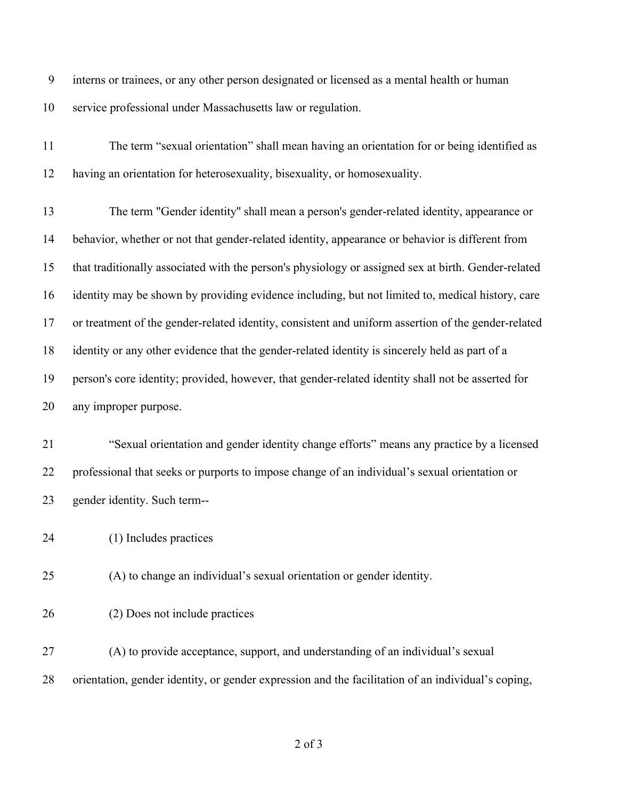interns or trainees, or any other person designated or licensed as a mental health or human service professional under Massachusetts law or regulation.

 The term "sexual orientation" shall mean having an orientation for or being identified as having an orientation for heterosexuality, bisexuality, or homosexuality.

 The term "Gender identity'' shall mean a person's gender-related identity, appearance or behavior, whether or not that gender-related identity, appearance or behavior is different from that traditionally associated with the person's physiology or assigned sex at birth. Gender-related identity may be shown by providing evidence including, but not limited to, medical history, care or treatment of the gender-related identity, consistent and uniform assertion of the gender-related identity or any other evidence that the gender-related identity is sincerely held as part of a person's core identity; provided, however, that gender-related identity shall not be asserted for any improper purpose.

 "Sexual orientation and gender identity change efforts" means any practice by a licensed professional that seeks or purports to impose change of an individual's sexual orientation or gender identity. Such term--

(1) Includes practices

(A) to change an individual's sexual orientation or gender identity.

(2) Does not include practices

 (A) to provide acceptance, support, and understanding of an individual's sexual orientation, gender identity, or gender expression and the facilitation of an individual's coping,

of 3